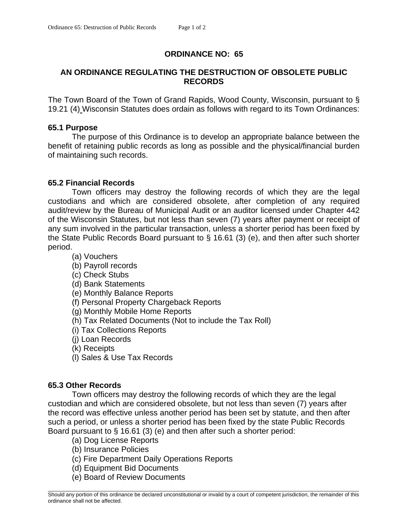# **ORDINANCE NO: 65**

# **AN ORDINANCE REGULATING THE DESTRUCTION OF OBSOLETE PUBLIC RECORDS**

The Town Board of the Town of Grand Rapids, Wood County, Wisconsin, pursuant to § 19.21 (4) Wisconsin Statutes does ordain as follows with regard to its Town Ordinances:

#### **65.1 Purpose**

 The purpose of this Ordinance is to develop an appropriate balance between the benefit of retaining public records as long as possible and the physical/financial burden of maintaining such records.

### **65.2 Financial Records**

Town officers may destroy the following records of which they are the legal custodians and which are considered obsolete, after completion of any required audit/review by the Bureau of Municipal Audit or an auditor licensed under Chapter 442 of the Wisconsin Statutes, but not less than seven (7) years after payment or receipt of any sum involved in the particular transaction, unless a shorter period has been fixed by the State Public Records Board pursuant to § 16.61 (3) (e), and then after such shorter period.

(a) Vouchers

- (b) Payroll records
- (c) Check Stubs
- (d) Bank Statements
- (e) Monthly Balance Reports
- (f) Personal Property Chargeback Reports
- (g) Monthly Mobile Home Reports
- (h) Tax Related Documents (Not to include the Tax Roll)
- (i) Tax Collections Reports
- (j) Loan Records
- (k) Receipts
- (l) Sales & Use Tax Records

#### **65.3 Other Records**

Town officers may destroy the following records of which they are the legal custodian and which are considered obsolete, but not less than seven (7) years after the record was effective unless another period has been set by statute, and then after such a period, or unless a shorter period has been fixed by the state Public Records Board pursuant to § 16.61 (3) (e) and then after such a shorter period:

- (a) Dog License Reports
- (b) Insurance Policies
- (c) Fire Department Daily Operations Reports
- (d) Equipment Bid Documents
- (e) Board of Review Documents